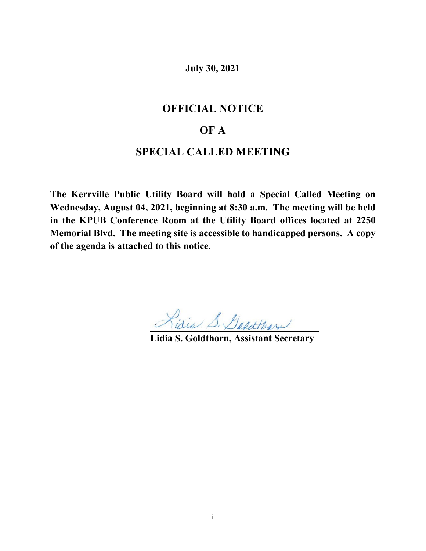**July 30, 2021**

## **OFFICIAL NOTICE**

## **OF A**

# **SPECIAL CALLED MEETING**

**The Kerrville Public Utility Board will hold a Special Called Meeting on Wednesday, August 04, 2021, beginning at 8:30 a.m. The meeting will be held in the KPUB Conference Room at the Utility Board offices located at 2250 Memorial Blvd. The meeting site is accessible to handicapped persons. A copy of the agenda is attached to this notice.**

**Lidia S. Goldthorn, Assistant Secretary**